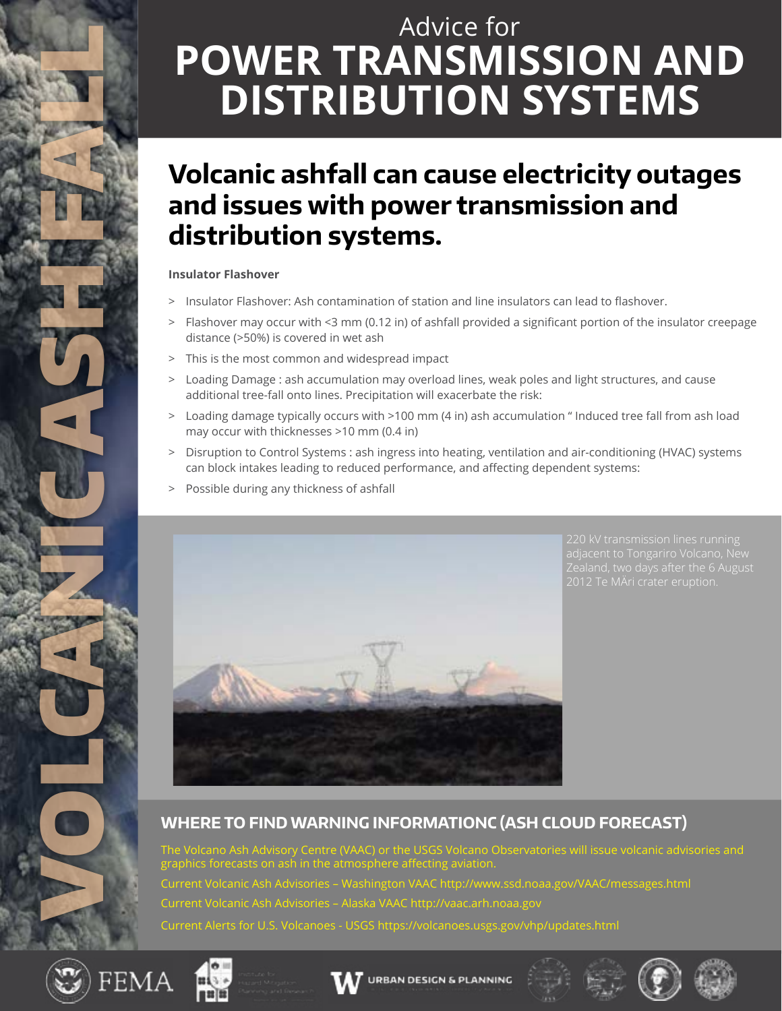# Advice for **POWER TRANSMISSION AND DISTRIBUTION SYSTEMS**

# **Volcanic ashfall can cause electricity outages and issues with power transmission and distribution systems.**

## **Insulator Flashover**

- > Insulator Flashover: Ash contamination of station and line insulators can lead to flashover.
- > Flashover may occur with <3 mm (0.12 in) of ashfall provided a significant portion of the insulator creepage distance (>50%) is covered in wet ash
- > This is the most common and widespread impact
- > Loading Damage : ash accumulation may overload lines, weak poles and light structures, and cause additional tree-fall onto lines. Precipitation will exacerbate the risk:
- > Loading damage typically occurs with >100 mm (4 in) ash accumulation " Induced tree fall from ash load may occur with thicknesses >10 mm (0.4 in)
- > Disruption to Control Systems : ash ingress into heating, ventilation and air-conditioning (HVAC) systems can block intakes leading to reduced performance, and affecting dependent systems:
- > Possible during any thickness of ashfall



# **WHERE TO FIND WARNING INFORMATIONC (ASH CLOUD FORECAST)**

The Volcano Ash Advisory Centre (VAAC) or the USGS Volcano Observatories will issue volcanic advisories and graphics forecasts on ash in the atmosphere affecting aviation. Current Volcanic Ash Advisories – Washington VAAC http://www.ssd.noaa.gov/VAAC/messages.html Current Volcanic Ash Advisories – Alaska VAAC http://vaac.arh.noaa.gov Current Alerts for U.S. Volcanoes - USGS https://volcanoes.usgs.gov/vhp/updates.html



VOLCANICASH FAN 2